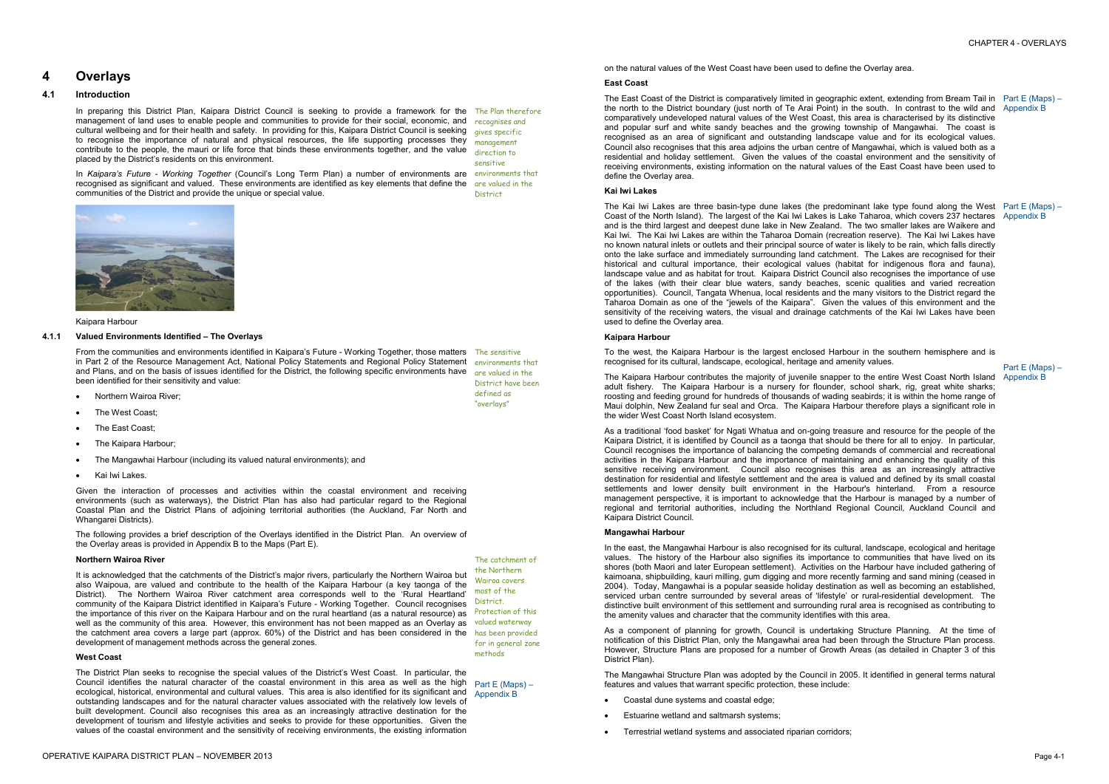# **4 Overlays**

# **4.1 Introduction**

In preparing this District Plan, Kaipara District Council is seeking to provide a framework for the The Plan therefore management of land uses to enable people and communities to provide for their social, economic, and recognises and cultural wellbeing and for their health and safety. In providing for this, Kaipara District Council is seeking to recognise the importance of natural and physical resources, the life supporting processes they contribute to the people, the mauri or life force that binds these environments together, and the value placed by the District's residents on this environment. gives specific management direction to sensitive

From the communities and environments identified in Kaipara's Future - Working Together, those matters The sensitive in Part 2 of the Resource Management Act, National Policy Statements and Regional Policy Statement environments that and Plans, and on the basis of issues identified for the District, the following specific environments have been identified for their sensitivity and value:

- Northern Wairoa River;
- The West Coast:
- The East Coast:
- · The Kaipara Harbour;
- · The Mangawhai Harbour (including its valued natural environments); and
- Kai Iwi Lakes.

In *Kaipara's Future - Working Together* (Council's Long Term Plan) a number of environments are environments that recognised as significant and valued. These environments are identified as key elements that define the are valued in the communities of the District and provide the unique or special value. District



### Kaipara Harbour

### **4.1.1 Valued Environments Identified – The Overlays**

Given the interaction of processes and activities within the coastal environment and receiving environments (such as waterways), the District Plan has also had particular regard to the Regional Coastal Plan and the District Plans of adjoining territorial authorities (the Auckland, Far North and Whangarei Districts).

The following provides a brief description of the Overlays identified in the District Plan. An overview of the Overlay areas is provided in Appendix B to the Maps (Part E).

are valued in the

# District have been defined as "overlays"

### **Northern Wairoa River**

The East Coast of the District is comparatively limited in geographic extent, extending from Bream Tail in Part E (Maps) – the north to the District boundary (just north of Te Arai Point) in the south. In contrast to the wild and Appendix B comparatively undeveloped natural values of the West Coast, this area is characterised by its distinctive and popular surf and white sandy beaches and the growing township of Mangawhai. The coast is recognised as an area of significant and outstanding landscape value and for its ecological values. Council also recognises that this area adjoins the urban centre of Mangawhai, which is valued both as a residential and holiday settlement. Given the values of the coastal environment and the sensitivity of receiving environments, existing information on the natural values of the East Coast have been used to define the Overlay area.

It is acknowledged that the catchments of the District's major rivers, particularly the Northern Wairoa but also Waipoua, are valued and contribute to the health of the Kaipara Harbour (a key taonga of the District). The Northern Wairoa River catchment area corresponds well to the 'Rural Heartland' community of the Kaipara District identified in Kaipara's Future - Working Together. Council recognises the importance of this river on the Kaipara Harbour and on the rural heartland (as a natural resource) as Protection of this well as the community of this area. However, this environment has not been mapped as an Overlay as valued waterway the catchment area covers a large part (approx. 60%) of the District and has been considered in the has been provided development of management methods across the general zones.

# **West Coast**

The Kai Iwi Lakes are three basin-type dune lakes (the predominant lake type found along the West Part E (Maps) – Coast of the North Island). The largest of the Kai Iwi Lakes is Lake Taharoa, which covers 237 hectares Appendix B and is the third largest and deepest dune lake in New Zealand. The two smaller lakes are Waikere and Kai Iwi. The Kai Iwi Lakes are within the Taharoa Domain (recreation reserve). The Kai Iwi Lakes have no known natural inlets or outlets and their principal source of water is likely to be rain, which falls directly onto the lake surface and immediately surrounding land catchment. The Lakes are recognised for their historical and cultural importance, their ecological values (habitat for indigenous flora and fauna), landscape value and as habitat for trout. Kaipara District Council also recognises the importance of use of the lakes (with their clear blue waters, sandy beaches, scenic qualities and varied recreation opportunities). Council, Tangata Whenua, local residents and the many visitors to the District regard the Taharoa Domain as one of the "jewels of the Kaipara". Given the values of this environment and the sensitivity of the receiving waters, the visual and drainage catchments of the Kai Iwi Lakes have been used to define the Overlay area.

The District Plan seeks to recognise the special values of the District's West Coast. In particular, the Council identifies the natural character of the coastal environment in this area as well as the high  $p_{art}$   $\in$  (Maps) – ecological, historical, environmental and cultural values. This area is also identified for its significant and Appendix B outstanding landscapes and for the natural character values associated with the relatively low levels of built development. Council also recognises this area as an increasingly attractive destination for the development of tourism and lifestyle activities and seeks to provide for these opportunities. Given the values of the coastal environment and the sensitivity of receiving environments, the existing information

The Kaipara Harbour contributes the majority of juvenile snapper to the entire West Coast North Island Appendix B adult fishery. The Kaipara Harbour is a nursery for flounder, school shark, rig, great white sharks; roosting and feeding ground for hundreds of thousands of wading seabirds; it is within the home range of Maui dolphin, New Zealand fur seal and Orca. The Kaipara Harbour therefore plays a significant role in the wider West Coast North Island ecosystem.

The catchment of the Northern Wairoa covers most of the District. for in general zone methods

on the natural values of the West Coast have been used to define the Overlay area.

### **East Coast**

### **Kai Iwi Lakes**

### **Kaipara Harbour**

To the west, the Kaipara Harbour is the largest enclosed Harbour in the southern hemisphere and is recognised for its cultural, landscape, ecological, heritage and amenity values.

As a traditional 'food basket' for Ngati Whatua and on-going treasure and resource for the people of the Kaipara District, it is identified by Council as a taonga that should be there for all to enjoy. In particular, Council recognises the importance of balancing the competing demands of commercial and recreational activities in the Kaipara Harbour and the importance of maintaining and enhancing the quality of this sensitive receiving environment. Council also recognises this area as an increasingly attractive destination for residential and lifestyle settlement and the area is valued and defined by its small coastal settlements and lower density built environment in the Harbour's hinterland. From a resource management perspective, it is important to acknowledge that the Harbour is managed by a number of regional and territorial authorities, including the Northland Regional Council, Auckland Council and Kaipara District Council.

### **Mangawhai Harbour**

In the east, the Mangawhai Harbour is also recognised for its cultural, landscape, ecological and heritage values. The history of the Harbour also signifies its importance to communities that have lived on its shores (both Maori and later European settlement). Activities on the Harbour have included gathering of kaimoana, shipbuilding, kauri milling, gum digging and more recently farming and sand mining (ceased in 2004). Today, Mangawhai is a popular seaside holiday destination as well as becoming an established, serviced urban centre surrounded by several areas of 'lifestyle' or rural-residential development. The distinctive built environment of this settlement and surrounding rural area is recognised as contributing to the amenity values and character that the community identifies with this area.

Part E (Maps) –

As a component of planning for growth, Council is undertaking Structure Planning. At the time of notification of this District Plan, only the Mangawhai area had been through the Structure Plan process. However, Structure Plans are proposed for a number of Growth Areas (as detailed in Chapter 3 of this District Plan).

The Mangawhai Structure Plan was adopted by the Council in 2005. It identified in general terms natural features and values that warrant specific protection, these include:

- · Coastal dune systems and coastal edge;
- Estuarine wetland and saltmarsh systems;
- · Terrestrial wetland systems and associated riparian corridors;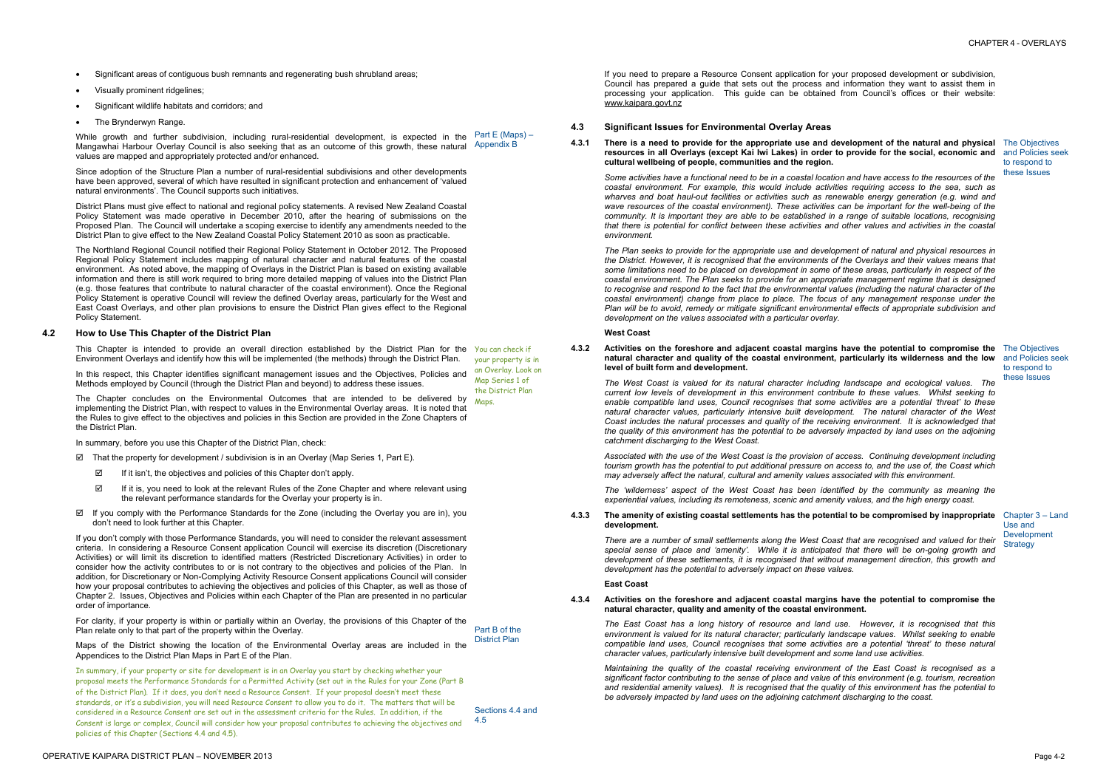- · Significant areas of contiguous bush remnants and regenerating bush shrubland areas;
- · Visually prominent ridgelines;
- Significant wildlife habitats and corridors; and
- The Brynderwyn Range.

OPERATIVE KAIPARA DISTRICT PLAN – NOVEMBER 2013 Page 4-2

Since adoption of the Structure Plan a number of rural-residential subdivisions and other developments have been approved, several of which have resulted in significant protection and enhancement of 'valued natural environments'. The Council supports such initiatives.

District Plans must give effect to national and regional policy statements. A revised New Zealand Coastal Policy Statement was made operative in December 2010, after the hearing of submissions on the Proposed Plan. The Council will undertake a scoping exercise to identify any amendments needed to the District Plan to give effect to the New Zealand Coastal Policy Statement 2010 as soon as practicable.

This Chapter is intended to provide an overall direction established by the District Plan for the You can check if Environment Overlays and identify how this will be implemented (the methods) through the District Plan.

While growth and further subdivision, including rural-residential development, is expected in the Mangawhai Harbour Overlay Council is also seeking that as an outcome of this growth, these natural values are mapped and appropriately protected and/or enhanced. Part E (Maps) – Appendix B

In this respect, this Chapter identifies significant management issues and the Objectives, Policies and an Overlay. Look on Methods employed by Council (through the District Plan and beyond) to address these issues.

The Chapter concludes on the Environmental Outcomes that are intended to be delivered by <sub>Maps</sub> implementing the District Plan, with respect to values in the Environmental Overlay areas. It is noted that the Rules to give effect to the objectives and policies in this Section are provided in the Zone Chapters of the District Plan.

In summary, before you use this Chapter of the District Plan, check:

The Northland Regional Council notified their Regional Policy Statement in October 2012. The Proposed Regional Policy Statement includes mapping of natural character and natural features of the coastal environment. As noted above, the mapping of Overlays in the District Plan is based on existing available information and there is still work required to bring more detailed mapping of values into the District Plan (e.g. those features that contribute to natural character of the coastal environment). Once the Regional Policy Statement is operative Council will review the defined Overlay areas, particularly for the West and East Coast Overlays, and other plan provisions to ensure the District Plan gives effect to the Regional Policy Statement.

- $✓$  That the property for development / subdivision is in an Overlay (Map Series 1, Part E).
	- □ If it isn't, the objectives and policies of this Chapter don't apply.
	- $\boxtimes$  If it is, you need to look at the relevant Rules of the Zone Chapter and where relevant using the relevant performance standards for the Overlay your property is in.
- ˛ If you comply with the Performance Standards for the Zone (including the Overlay you are in), you don't need to look further at this Chapter.

# **4.2 How to Use This Chapter of the District Plan**

4.3.1 There is a need to provide for the appropriate use and development of the natural and physical The Objectives resources in all Overlays (except Kai Iwi Lakes) in order to provide for the social, economic and and Policies seek **cultural wellbeing of people, communities and the region.** 

Some activities have a functional need to be in a coastal location and have access to the resources of the *coastal environment. For example, this would include activities requiring access to the sea, such as wharves and boat haul-out facilities or activities such as renewable energy generation (e.g. wind and wave resources of the coastal environment). These activities can be important for the well-being of the community. It is important they are able to be established in a range of suitable locations, recognising*  that there is potential for conflict between these activities and other values and activities in the coastal *environment.* 

If you don't comply with those Performance Standards, you will need to consider the relevant assessment criteria. In considering a Resource Consent application Council will exercise its discretion (Discretionary Activities) or will limit its discretion to identified matters (Restricted Discretionary Activities) in order to consider how the activity contributes to or is not contrary to the objectives and policies of the Plan. In addition, for Discretionary or Non-Complying Activity Resource Consent applications Council will consider how your proposal contributes to achieving the objectives and policies of this Chapter, as well as those of Chapter 2. Issues, Objectives and Policies within each Chapter of the Plan are presented in no particular order of importance.

For clarity, if your property is within or partially within an Overlay, the provisions of this Chapter of the Plan relate only to that part of the property within the Overlay.

Maps of the District showing the location of the Environmental Overlay areas are included in the Appendices to the District Plan Maps in Part E of the Plan.

Use and Development **Strategy** 

There are a number of small settlements along the West Coast that are recognised and valued for their *special sense of place and 'amenity'. While it is anticipated that there will be on-going growth and development of these settlements, it is recognised that without management direction, this growth and development has the potential to adversely impact on these values.* 

In summary, if your property or site for development is in an Overlay you start by checking whether your proposal meets the Performance Standards for a Permitted Activity (set out in the Rules for your Zone (Part B of the District Plan). If it does, you don't need a Resource Consent. If your proposal doesn't meet these standards, or it's a subdivision, you will need Resource Consent to allow you to do it. The matters that will be considered in a Resource Consent are set out in the assessment criteria for the Rules. In addition, if the Consent is large or complex, Council will consider how your proposal contributes to achieving the objectives and policies of this Chapter (Sections 4.4 and 4.5).

your property is in Map Series 1 of the District Plan

Part B of the District Plan

Sections 4.4 and

4.5

If you need to prepare a Resource Consent application for your proposed development or subdivision, Council has prepared a guide that sets out the process and information they want to assist them in processing your application. This guide can be obtained from Council's offices or their website: [www.kaipara.govt.nz](http://www.kaipara.govt.nz)

# **4.3 Significant Issues for Environmental Overlay Areas**

*The Plan seeks to provide for the appropriate use and development of natural and physical resources in*  the District. However, it is recognised that the environments of the Overlays and their values means that some limitations need to be placed on development in some of these areas, particularly in respect of the *coastal environment. The Plan seeks to provide for an appropriate management regime that is designed*  to recognise and respond to the fact that the environmental values (including the natural character of the *coastal environment) change from place to place. The focus of any management response under the Plan will be to avoid, remedy or mitigate significant environmental effects of appropriate subdivision and development on the values associated with a particular overlay.* 

to respond to these Issues

## **West Coast**

**4.3.2 Activities on the foreshore and adjacent coastal margins have the potential to compromise the**  The Objectives **natural character and quality of the coastal environment, particularly its wilderness and the low**  and Policies seek **level of built form and development.** 

to respond to these Issues

*The West Coast is valued for its natural character including landscape and ecological values. The current low levels of development in this environment contribute to these values. Whilst seeking to enable compatible land uses, Council recognises that some activities are a potential 'threat' to these natural character values, particularly intensive built development. The natural character of the West Coast includes the natural processes and quality of the receiving environment. It is acknowledged that*  the quality of this environment has the potential to be adversely impacted by land uses on the adjoining *catchment discharging to the West Coast.* 

*Associated with the use of the West Coast is the provision of access. Continuing development including*  tourism growth has the potential to put additional pressure on access to, and the use of, the Coast which *may adversely affect the natural, cultural and amenity values associated with this environment.* 

*The 'wilderness' aspect of the West Coast has been identified by the community as meaning the experiential values, including its remoteness, scenic and amenity values, and the high energy coast.*

**4.3.3 The amenity of existing coastal settlements has the potential to be compromised by inappropriate**  Chapter 3 – Land **development.** 

# **East Coast**

**4.3.4 Activities on the foreshore and adjacent coastal margins have the potential to compromise the natural character, quality and amenity of the coastal environment.** 

*The East Coast has a long history of resource and land use. However, it is recognised that this environment is valued for its natural character; particularly landscape values. Whilst seeking to enable compatible land uses, Council recognises that some activities are a potential 'threat' to these natural character values, particularly intensive built development and some land use activities.* 

*Maintaining the quality of the coastal receiving environment of the East Coast is recognised as a significant factor contributing to the sense of place and value of this environment (e.g. tourism, recreation and residential amenity values). It is recognised that the quality of this environment has the potential to be adversely impacted by land uses on the adjoining catchment discharging to the coast.*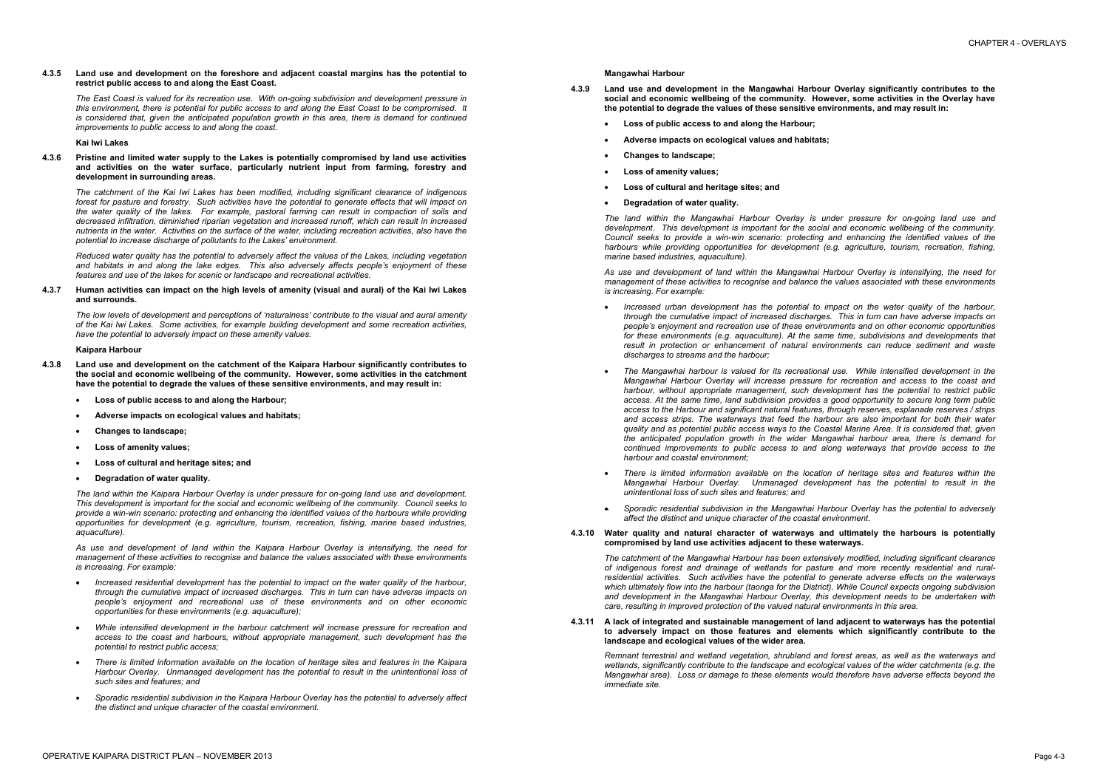## **4.3.5 Land use and development on the foreshore and adjacent coastal margins has the potential to restrict public access to and along the East Coast.**

*The East Coast is valued for its recreation use. With on-going subdivision and development pressure in this environment, there is potential for public access to and along the East Coast to be compromised. It is considered that, given the anticipated population growth in this area, there is demand for continued improvements to public access to and along the coast.* 

## **Kai Iwi Lakes**

## **4.3.6 Pristine and limited water supply to the Lakes is potentially compromised by land use activities and activities on the water surface, particularly nutrient input from farming, forestry and development in surrounding areas.**

# 4.3.7 Human activities can impact on the high levels of amenity (visual and aural) of the Kai Iwi Lakes **and surrounds.**

*The catchment of the Kai Iwi Lakes has been modified, including significant clearance of indigenous forest for pasture and forestry. Such activities have the potential to generate effects that will impact on the water quality of the lakes. For example, pastoral farming can result in compaction of soils and decreased infiltration, diminished riparian vegetation and increased runoff, which can result in increased*  nutrients in the water. Activities on the surface of the water, including recreation activities, also have the *potential to increase discharge of pollutants to the Lakes' environment.* 

*Reduced water quality has the potential to adversely affect the values of the Lakes, including vegetation and habitats in and along the lake edges. This also adversely affects people's enjoyment of these features and use of the lakes for scenic or landscape and recreational activities.* 

*The low levels of development and perceptions of 'naturalness' contribute to the visual and aural amenity of the Kai Iwi Lakes. Some activities, for example building development and some recreation activities, have the potential to adversely impact on these amenity values.* 

# **Kaipara Harbour**

- **4.3.8 Land use and development on the catchment of the Kaipara Harbour significantly contributes to the social and economic wellbeing of the community. However, some activities in the catchment have the potential to degrade the values of these sensitive environments, and may result in:** 
	- · **Loss of public access to and along the Harbour;**
	- · **Adverse impacts on ecological values and habitats;**
	- · **Changes to landscape;**
	- · **Loss of amenity values;**
	- · **Loss of cultural and heritage sites; and**
	- · **Degradation of water quality.**

*The land within the Kaipara Harbour Overlay is under pressure for on-going land use and development. This development is important for the social and economic wellbeing of the community. Council seeks to provide a win-win scenario: protecting and enhancing the identified values of the harbours while providing opportunities for development (e.g. agriculture, tourism, recreation, fishing, marine based industries, aquaculture).* 

*As use and development of land within the Kaipara Harbour Overlay is intensifying, the need for management of these activities to recognise and balance the values associated with these environments is increasing. For example:* 

- · *Increased residential development has the potential to impact on the water quality of the harbour, through the cumulative impact of increased discharges. This in turn can have adverse impacts on people's enjoyment and recreational use of these environments and on other economic opportunities for these environments (e.g. aquaculture);*
- · *While intensified development in the harbour catchment will increase pressure for recreation and access to the coast and harbours, without appropriate management, such development has the potential to restrict public access;*
- · *There is limited information available on the location of heritage sites and features in the Kaipara Harbour Overlay. Unmanaged development has the potential to result in the unintentional loss of such sites and features; and*
- · *Sporadic residential subdivision in the Kaipara Harbour Overlay has the potential to adversely affect the distinct and unique character of the coastal environment.*

### **Mangawhai Harbour**

- **4.3.9 Land use and development in the Mangawhai Harbour Overlay significantly contributes to the social and economic wellbeing of the community. However, some activities in the Overlay have the potential to degrade the values of these sensitive environments, and may result in:** 
	- · **Loss of public access to and along the Harbour;**
	- · **Adverse impacts on ecological values and habitats;**
	- · **Changes to landscape;**
	- · **Loss of amenity values;**
	- · **Loss of cultural and heritage sites; and**
	- · **Degradation of water quality.**

*The land within the Mangawhai Harbour Overlay is under pressure for on-going land use and development. This development is important for the social and economic wellbeing of the community. Council seeks to provide a win-win scenario: protecting and enhancing the identified values of the harbours while providing opportunities for development (e.g. agriculture, tourism, recreation, fishing, marine based industries, aquaculture).* 

*As use and development of land within the Mangawhai Harbour Overlay is intensifying, the need for management of these activities to recognise and balance the values associated with these environments is increasing. For example:* 

- · *Increased urban development has the potential to impact on the water quality of the harbour, through the cumulative impact of increased discharges. This in turn can have adverse impacts on people's enjoyment and recreation use of these environments and on other economic opportunities for these environments (e.g. aquaculture). At the same time, subdivisions and developments that result in protection or enhancement of natural environments can reduce sediment and waste discharges to streams and the harbour;*
- · *The Mangawhai harbour is valued for its recreational use. While intensified development in the Mangawhai Harbour Overlay will increase pressure for recreation and access to the coast and harbour, without appropriate management, such development has the potential to restrict public access. At the same time, land subdivision provides a good opportunity to secure long term public access to the Harbour and significant natural features, through reserves, esplanade reserves / strips and access strips. The waterways that feed the harbour are also important for both their water quality and as potential public access ways to the Coastal Marine Area. It is considered that, given the anticipated population growth in the wider Mangawhai harbour area, there is demand for continued improvements to public access to and along waterways that provide access to the harbour and coastal environment;*
- · *There is limited information available on the location of heritage sites and features within the Mangawhai Harbour Overlay. Unmanaged development has the potential to result in the unintentional loss of such sites and features; and*
- · *Sporadic residential subdivision in the Mangawhai Harbour Overlay has the potential to adversely affect the distinct and unique character of the coastal environment.*
- **4.3.10 Water quality and natural character of waterways and ultimately the harbours is potentially compromised by land use activities adjacent to these waterways.**

*The catchment of the Mangawhai Harbour has been extensively modified, including significant clearance of indigenous forest and drainage of wetlands for pasture and more recently residential and ruralresidential activities. Such activities have the potential to generate adverse effects on the waterways which ultimately flow into the harbour (taonga for the District). While Council expects ongoing subdivision and development in the Mangawhai Harbour Overlay, this development needs to be undertaken with care, resulting in improved protection of the valued natural environments in this area.* 

**4.3.11 A lack of integrated and sustainable management of land adjacent to waterways has the potential to adversely impact on those features and elements which significantly contribute to the landscape and ecological values of the wider area.**

*Remnant terrestrial and wetland vegetation, shrubland and forest areas, as well as the waterways and wetlands, significantly contribute to the landscape and ecological values of the wider catchments (e.g. the Mangawhai area). Loss or damage to these elements would therefore have adverse effects beyond the immediate site.*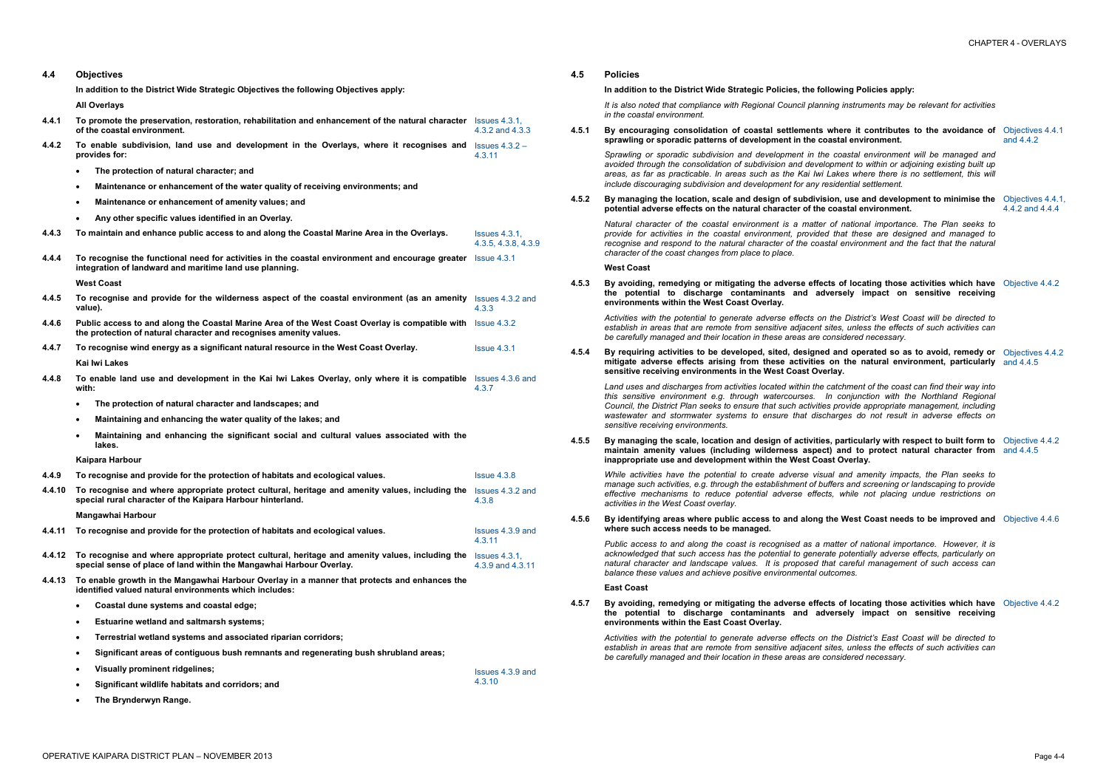and 4.4.2

| 4.4    | <b>Objectives</b>                                                                                                                                                                 |                                               |
|--------|-----------------------------------------------------------------------------------------------------------------------------------------------------------------------------------|-----------------------------------------------|
|        | In addition to the District Wide Strategic Objectives the following Objectives apply:                                                                                             |                                               |
|        | <b>All Overlays</b>                                                                                                                                                               |                                               |
| 4.4.1  | To promote the preservation, restoration, rehabilitation and enhancement of the natural character Issues 4.3.1,<br>of the coastal environment.                                    | 4.3.2 and 4.3.3                               |
| 4.4.2  | To enable subdivision, land use and development in the Overlays, where it recognises and $lssues 4.3.2 -$<br>provides for:                                                        | 4.3.11                                        |
|        | The protection of natural character; and<br>$\bullet$                                                                                                                             |                                               |
|        | Maintenance or enhancement of the water quality of receiving environments; and<br>$\bullet$                                                                                       |                                               |
|        | Maintenance or enhancement of amenity values; and<br>$\bullet$                                                                                                                    |                                               |
|        | Any other specific values identified in an Overlay.<br>$\bullet$                                                                                                                  |                                               |
| 4.4.3  | To maintain and enhance public access to and along the Coastal Marine Area in the Overlays.                                                                                       | $Issues$ 4.3.1.<br>4.3.5, 4.3.8, 4.3.9        |
| 4.4.4  | To recognise the functional need for activities in the coastal environment and encourage greater Issue 4.3.1<br>integration of landward and maritime land use planning.           |                                               |
|        | <b>West Coast</b>                                                                                                                                                                 |                                               |
| 4.4.5  | To recognise and provide for the wilderness aspect of the coastal environment (as an amenity Issues 4.3.2 and<br>value).                                                          | 4.3.3                                         |
| 4.4.6  | Public access to and along the Coastal Marine Area of the West Coast Overlay is compatible with Issue 4.3.2<br>the protection of natural character and recognises amenity values. |                                               |
| 4.4.7  | To recognise wind energy as a significant natural resource in the West Coast Overlay.                                                                                             | Is sue 4.3.1                                  |
|        | <b>Kai Iwi Lakes</b>                                                                                                                                                              |                                               |
| 4.4.8  | To enable land use and development in the Kai Iwi Lakes Overlay, only where it is compatible Issues 4.3.6 and<br>with:                                                            | 4.3.7                                         |
|        | The protection of natural character and landscapes; and<br>$\bullet$                                                                                                              |                                               |
|        | Maintaining and enhancing the water quality of the lakes; and<br>$\bullet$                                                                                                        |                                               |
|        | Maintaining and enhancing the significant social and cultural values associated with the<br>$\bullet$<br>lakes.                                                                   |                                               |
|        | Kaipara Harbour                                                                                                                                                                   |                                               |
| 4.4.9  | To recognise and provide for the protection of habitats and ecological values.                                                                                                    | Is sue 4.3.8                                  |
| 4.4.10 | To recognise and where appropriate protect cultural, heritage and amenity values, including the Issues 4.3.2 and<br>special rural character of the Kaipara Harbour hinterland.    | 4.3.8                                         |
|        | Mangawhai Harbour                                                                                                                                                                 |                                               |
| 4.4.11 | To recognise and provide for the protection of habitats and ecological values.                                                                                                    | Issues 4.3.9 and<br>4.3.11                    |
| 4.4.12 | To recognise and where appropriate protect cultural, heritage and amenity values, including the<br>special sense of place of land within the Mangawhai Harbour Overlay.           | $\textsf{lssues}\,4.3.1,$<br>4.3.9 and 4.3.11 |
| 4.4.13 | To enable growth in the Mangawhai Harbour Overlay in a manner that protects and enhances the<br>identified valued natural environments which includes:                            |                                               |
|        | Coastal dune systems and coastal edge;<br>$\bullet$                                                                                                                               |                                               |
|        | <b>Estuarine wetland and saltmarsh systems;</b><br>$\bullet$                                                                                                                      |                                               |
|        | Terrestrial wetland systems and associated riparian corridors;<br>$\bullet$                                                                                                       |                                               |
|        | Significant areas of contiguous bush remnants and regenerating bush shrubland areas;<br>$\bullet$                                                                                 |                                               |
|        | <b>Visually prominent ridgelines;</b><br>$\bullet$                                                                                                                                | Issues 4.3.9 and                              |
|        | Significant wildlife habitats and corridors; and<br>$\bullet$                                                                                                                     | 4.3.10                                        |
|        | The Brynderwyn Range.<br>$\bullet$                                                                                                                                                |                                               |

# 4.5.2 By managing the location, scale and design of subdivision, use and development to minimise the Objectives 4.4.1, **potential adverse effects on the natural character of the coastal environment.**

Activities with the potential to generate adverse effects on the District's West Coast will be directed to establish in areas that are remote from sensitive adjacent sites, unless the effects of such activities can *be carefully managed and their location in these areas are considered necessary.*

4.5.4 By requiring activities to be developed, sited, designed and operated so as to avoid, remedy or Objectives 4.4.2 **mitigate adverse effects arising from these activities on the natural environment, particularly**  and 4.4.5 **sensitive receiving environments in the West Coast Overlay.** 

Land uses and discharges from activities located within the catchment of the coast can find their way into *this sensitive environment e.g. through watercourses. In conjunction with the Northland Regional Council, the District Plan seeks to ensure that such activities provide appropriate management, including wastewater and stormwater systems to ensure that discharges do not result in adverse effects on sensitive receiving environments.* 

# 4.5.5 By managing the scale, location and design of activities, particularly with respect to built form to Objective 4.4.2 **maintain amenity values (including wilderness aspect) and to protect natural character from**  and 4.4.5 **inappropriate use and development within the West Coast Overlay.**

# **4.5 Policies**

**In addition to the District Wide Strategic Policies, the following Policies apply:** 

*It is also noted that compliance with Regional Council planning instruments may be relevant for activities in the coastal environment.* 

4.5.6 By identifying areas where public access to and along the West Coast needs to be improved and Objective 4.4.6 **where such access needs to be managed.** 

**4.5.1 By encouraging consolidation of coastal settlements where it contributes to the avoidance of**  Objectives 4.4.1 **sprawling or sporadic patterns of development in the coastal environment.** 

Public access to and along the coast is recognised as a matter of national importance. However, it is *acknowledged that such access has the potential to generate potentially adverse effects, particularly on natural character and landscape values. It is proposed that careful management of such access can balance these values and achieve positive environmental outcomes.* 

*Sprawling or sporadic subdivision and development in the coastal environment will be managed and avoided through the consolidation of subdivision and development to within or adjoining existing built up*  areas, as far as practicable. In areas such as the Kai Iwi Lakes where there is no settlement, this will *include discouraging subdivision and development for any residential settlement.* 

Activities with the potential to generate adverse effects on the District's East Coast will be directed to establish in areas that are remote from sensitive adjacent sites, unless the effects of such activities can *be carefully managed and their location in these areas are considered necessary.* 

4.4.2 and 4.4.4

*Natural character of the coastal environment is a matter of national importance. The Plan seeks to provide for activities in the coastal environment, provided that these are designed and managed to recognise and respond to the natural character of the coastal environment and the fact that the natural character of the coast changes from place to place.*

### **West Coast**

**4.5.3 By avoiding, remedying or mitigating the adverse effects of locating those activities which have**  Objective 4.4.2 **the potential to discharge contaminants and adversely impact on sensitive receiving environments within the West Coast Overlay.** 

*While activities have the potential to create adverse visual and amenity impacts, the Plan seeks to manage such activities, e.g. through the establishment of buffers and screening or landscaping to provide effective mechanisms to reduce potential adverse effects, while not placing undue restrictions on activities in the West Coast overlay.* 

**East Coast** 

**4.5.7 By avoiding, remedying or mitigating the adverse effects of locating those activities which have**  Objective 4.4.2 **the potential to discharge contaminants and adversely impact on sensitive receiving environments within the East Coast Overlay.**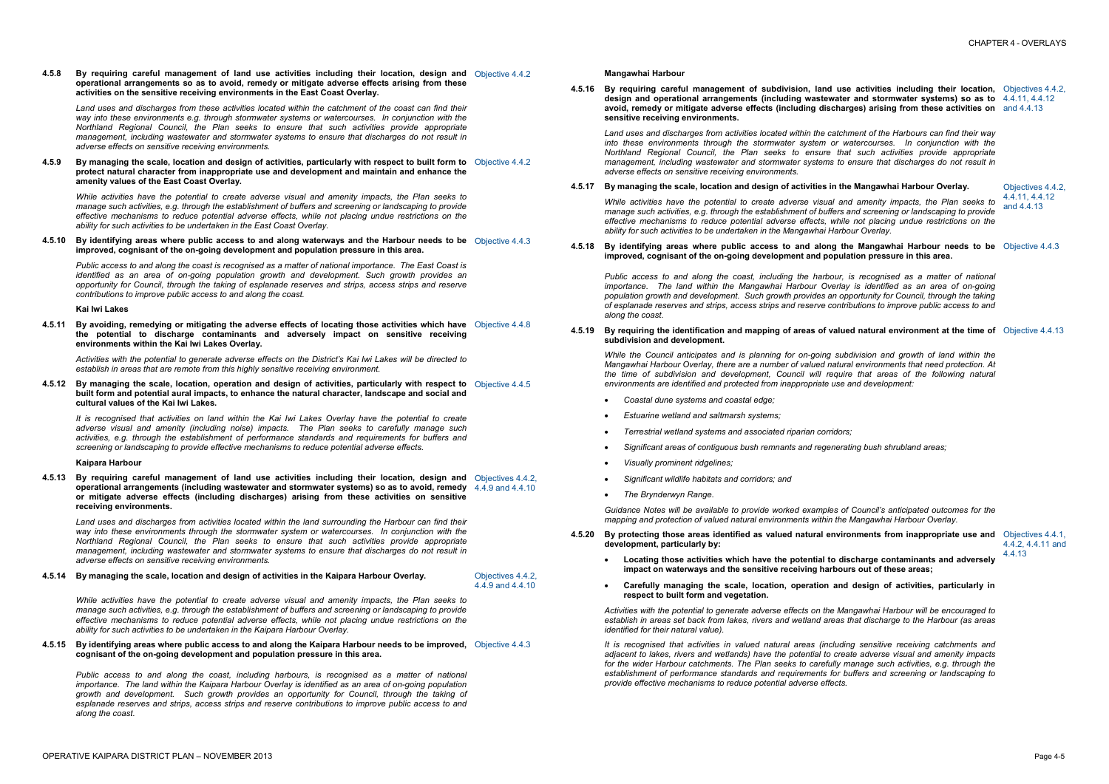**4.5.8 By requiring careful management of land use activities including their location, design and**  Objective 4.4.2 **operational arrangements so as to avoid, remedy or mitigate adverse effects arising from these activities on the sensitive receiving environments in the East Coast Overlay.** 

4.5.9 By managing the scale, location and design of activities, particularly with respect to built form to Objective 4.4.2 **protect natural character from inappropriate use and development and maintain and enhance the amenity values of the East Coast Overlay.** 

*Land uses and discharges from these activities located within the catchment of the coast can find their way into these environments e.g. through stormwater systems or watercourses. In conjunction with the Northland Regional Council, the Plan seeks to ensure that such activities provide appropriate management, including wastewater and stormwater systems to ensure that discharges do not result in adverse effects on sensitive receiving environments.* 

4.5.10 By identifying areas where public access to and along waterways and the Harbour needs to be Objective 4.4.3 **improved, cognisant of the on-going development and population pressure in this area.** 

4.5.11 By avoiding, remedying or mitigating the adverse effects of locating those activities which have Objective 4.4.8 **the potential to discharge contaminants and adversely impact on sensitive receiving environments within the Kai Iwi Lakes Overlay.** 

Activities with the potential to generate adverse effects on the District's Kai Iwi Lakes will be directed to *establish in areas that are remote from this highly sensitive receiving environment.* 

*While activities have the potential to create adverse visual and amenity impacts, the Plan seeks to manage such activities, e.g. through the establishment of buffers and screening or landscaping to provide effective mechanisms to reduce potential adverse effects, while not placing undue restrictions on the ability for such activities to be undertaken in the East Coast Overlay.* 

4.5.12 By managing the scale, location, operation and design of activities, particularly with respect to Objective 4.4.5 **built form and potential aural impacts, to enhance the natural character, landscape and social and cultural values of the Kai Iwi Lakes.** 

It is recognised that activities on land within the Kai Iwi Lakes Overlay have the potential to create *adverse visual and amenity (including noise) impacts. The Plan seeks to carefully manage such activities, e.g. through the establishment of performance standards and requirements for buffers and screening or landscaping to provide effective mechanisms to reduce potential adverse effects.* 

*Public access to and along the coast is recognised as a matter of national importance. The East Coast is identified as an area of on-going population growth and development. Such growth provides an opportunity for Council, through the taking of esplanade reserves and strips, access strips and reserve contributions to improve public access to and along the coast.* 

### **Kai Iwi Lakes**

4.5.15 By identifying areas where public access to and along the Kaipara Harbour needs to be improved, Objective 4.4.3 **cognisant of the on-going development and population pressure in this area.** 

# **Kaipara Harbour**

**4.5.13 By requiring careful management of land use activities including their location, design and**  Objectives 4.4.2, **operational arrangements (including wastewater and stormwater systems) so as to avoid, remedy**  4.4.9 and 4.4.10 **or mitigate adverse effects (including discharges) arising from these activities on sensitive receiving environments.** 

### 4.5.19 By requiring the identification and mapping of areas of valued natural environment at the time of Objective 4.4.13 **subdivision and development.**

*Land uses and discharges from activities located within the land surrounding the Harbour can find their way into these environments through the stormwater system or watercourses. In conjunction with the Northland Regional Council, the Plan seeks to ensure that such activities provide appropriate management, including wastewater and stormwater systems to ensure that discharges do not result in adverse effects on sensitive receiving environments.* 

# **4.5.14 By managing the scale, location and design of activities in the Kaipara Harbour Overlay.** Objectives 4.4.2,

4.4.9 and 4.4.10

*While activities have the potential to create adverse visual and amenity impacts, the Plan seeks to manage such activities, e.g. through the establishment of buffers and screening or landscaping to provide effective mechanisms to reduce potential adverse effects, while not placing undue restrictions on the ability for such activities to be undertaken in the Kaipara Harbour Overlay.* 

*Public access to and along the coast, including harbours, is recognised as a matter of national importance. The land within the Kaipara Harbour Overlay is identified as an area of on-going population growth and development. Such growth provides an opportunity for Council, through the taking of esplanade reserves and strips, access strips and reserve contributions to improve public access to and along the coast.* 

**Mangawhai Harbour** 

**4.5.16 By requiring careful management of subdivision, land use activities including their location,**  Objectives 4.4.2, **design and operational arrangements (including wastewater and stormwater systems) so as to**  4.4.11, 4.4.12 **avoid, remedy or mitigate adverse effects (including discharges) arising from these activities on**  and 4.4.13 **sensitive receiving environments.** 

*Land uses and discharges from activities located within the catchment of the Harbours can find their way into these environments through the stormwater system or watercourses. In conjunction with the Northland Regional Council, the Plan seeks to ensure that such activities provide appropriate management, including wastewater and stormwater systems to ensure that discharges do not result in adverse effects on sensitive receiving environments.* 

# **4.5.17 By managing the scale, location and design of activities in the Mangawhai Harbour Overlay.** Objectives 4.4.2,

4.4.11, 4.4.12

and 4.4.13 *While activities have the potential to create adverse visual and amenity impacts, the Plan seeks to manage such activities, e.g. through the establishment of buffers and screening or landscaping to provide effective mechanisms to reduce potential adverse effects, while not placing undue restrictions on the ability for such activities to be undertaken in the Mangawhai Harbour Overlay.* 

**4.5.18 By identifying areas where public access to and along the Mangawhai Harbour needs to be**  Objective 4.4.3 **improved, cognisant of the on-going development and population pressure in this area.** 

*Public access to and along the coast, including the harbour, is recognised as a matter of national importance. The land within the Mangawhai Harbour Overlay is identified as an area of on-going population growth and development. Such growth provides an opportunity for Council, through the taking of esplanade reserves and strips, access strips and reserve contributions to improve public access to and along the coast.* 

*While the Council anticipates and is planning for on-going subdivision and growth of land within the Mangawhai Harbour Overlay, there are a number of valued natural environments that need protection. At the time of subdivision and development, Council will require that areas of the following natural environments are identified and protected from inappropriate use and development:* 

- · *Coastal dune systems and coastal edge;*
- · *Estuarine wetland and saltmarsh systems;*
- · *Terrestrial wetland systems and associated riparian corridors;*
- · *Significant areas of contiguous bush remnants and regenerating bush shrubland areas;*
- · *Visually prominent ridgelines;*
- · *Significant wildlife habitats and corridors; and*
- · *The Brynderwyn Range.*

*Guidance Notes will be available to provide worked examples of Council's anticipated outcomes for the mapping and protection of valued natural environments within the Mangawhai Harbour Overlay.* 

- **4.5.20 By protecting those areas identified as valued natural environments from inappropriate use and**  Objectives 4.4.1, **development, particularly by:** 
	- · **Locating those activities which have the potential to discharge contaminants and adversely impact on waterways and the sensitive receiving harbours out of these areas;**
	- · **Carefully managing the scale, location, operation and design of activities, particularly in respect to built form and vegetation.**

4.4.2, 4.4.11 and 4.4.13

*Activities with the potential to generate adverse effects on the Mangawhai Harbour will be encouraged to*  establish in areas set back from lakes, rivers and wetland areas that discharge to the Harbour (as areas *identified for their natural value).* 

*It is recognised that activities in valued natural areas (including sensitive receiving catchments and adjacent to lakes, rivers and wetlands) have the potential to create adverse visual and amenity impacts for the wider Harbour catchments. The Plan seeks to carefully manage such activities, e.g. through the establishment of performance standards and requirements for buffers and screening or landscaping to provide effective mechanisms to reduce potential adverse effects.*